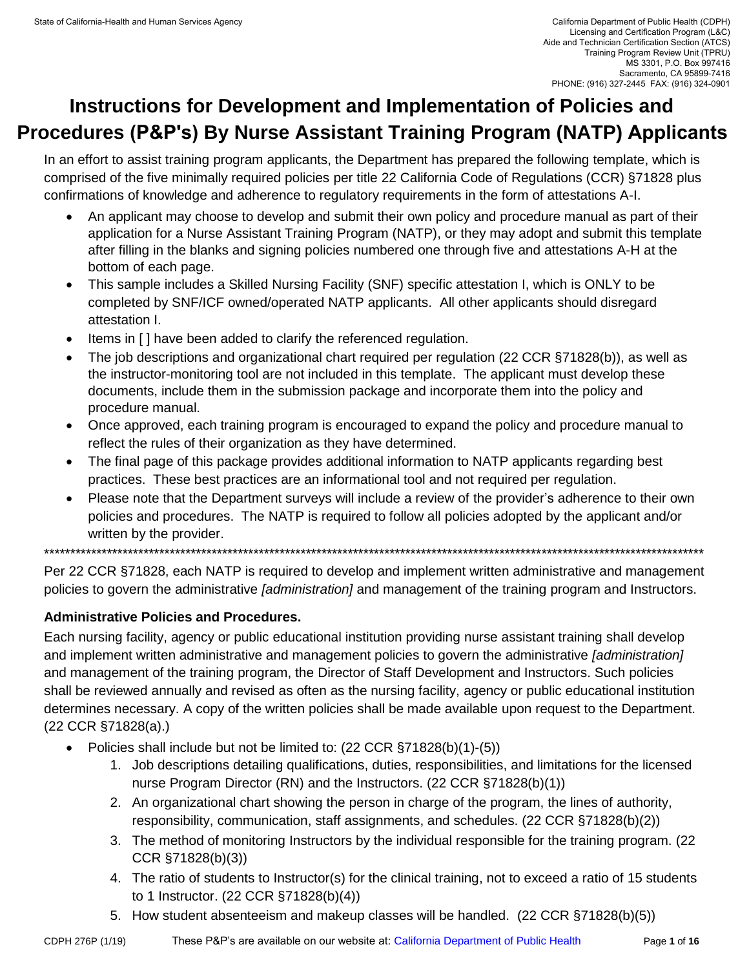# **Instructions for Development and Implementation of Policies and Procedures (P&P's) By Nurse Assistant Training Program (NATP) Applicants**

In an effort to assist training program applicants, the Department has prepared the following template, which is comprised of the five minimally required policies per title 22 California Code of Regulations (CCR) §71828 plus confirmations of knowledge and adherence to regulatory requirements in the form of attestations A-I.

- An applicant may choose to develop and submit their own policy and procedure manual as part of their application for a Nurse Assistant Training Program (NATP), or they may adopt and submit this template after filling in the blanks and signing policies numbered one through five and attestations A-H at the bottom of each page.
- This sample includes a Skilled Nursing Facility (SNF) specific attestation I, which is ONLY to be completed by SNF/ICF owned/operated NATP applicants. All other applicants should disregard attestation I.
- Items in [ ] have been added to clarify the referenced regulation.
- The job descriptions and organizational chart required per regulation (22 CCR §71828(b)), as well as the instructor-monitoring tool are not included in this template. The applicant must develop these documents, include them in the submission package and incorporate them into the policy and procedure manual.
- Once approved, each training program is encouraged to expand the policy and procedure manual to reflect the rules of their organization as they have determined.
- The final page of this package provides additional information to NATP applicants regarding best practices. These best practices are an informational tool and not required per regulation.
- Please note that the Department surveys will include a review of the provider's adherence to their own policies and procedures. The NATP is required to follow all policies adopted by the applicant and/or written by the provider.

\*\*\*\*\*\*\*\*\*\*\*\*\*\*\*\*\*\*\*\*\*\*\*\*\*\*\*\*\*\*\*\*\*\*\*\*\*\*\*\*\*\*\*\*\*\*\*\*\*\*\*\*\*\*\*\*\*\*\*\*\*\*\*\*\*\*\*\*\*\*\*\*\*\*\*\*\*\*\*\*\*\*\*\*\*\*\*\*\*\*\*\*\*\*\*\*\*\*\*\*\*\*\*\*\*\*\*\*\*\*\*\*\*\*\*\*\*\*\*\*\*\*\*\*\*\*

Per 22 CCR §71828, each NATP is required to develop and implement written administrative and management policies to govern the administrative *[administration]* and management of the training program and Instructors.

#### **Administrative Policies and Procedures.**

Each nursing facility, agency or public educational institution providing nurse assistant training shall develop and implement written administrative and management policies to govern the administrative *[administration]*  and management of the training program, the Director of Staff Development and Instructors. Such policies shall be reviewed annually and revised as often as the nursing facility, agency or public educational institution determines necessary. A copy of the written policies shall be made available upon request to the Department. (22 CCR §71828(a).)

- Policies shall include but not be limited to: (22 CCR §71828(b)(1)-(5))
	- 1. Job descriptions detailing qualifications, duties, responsibilities, and limitations for the licensed nurse Program Director (RN) and the Instructors. (22 CCR §71828(b)(1))
	- 2. An organizational chart showing the person in charge of the program, the lines of authority, responsibility, communication, staff assignments, and schedules. (22 CCR §71828(b)(2))
	- 3. The method of monitoring Instructors by the individual responsible for the training program. (22 CCR §71828(b)(3))
	- 4. The ratio of students to Instructor(s) for the clinical training, not to exceed a ratio of 15 students to 1 Instructor. (22 CCR §71828(b)(4))
	- 5. How student absenteeism and makeup classes will be handled. (22 CCR §71828(b)(5))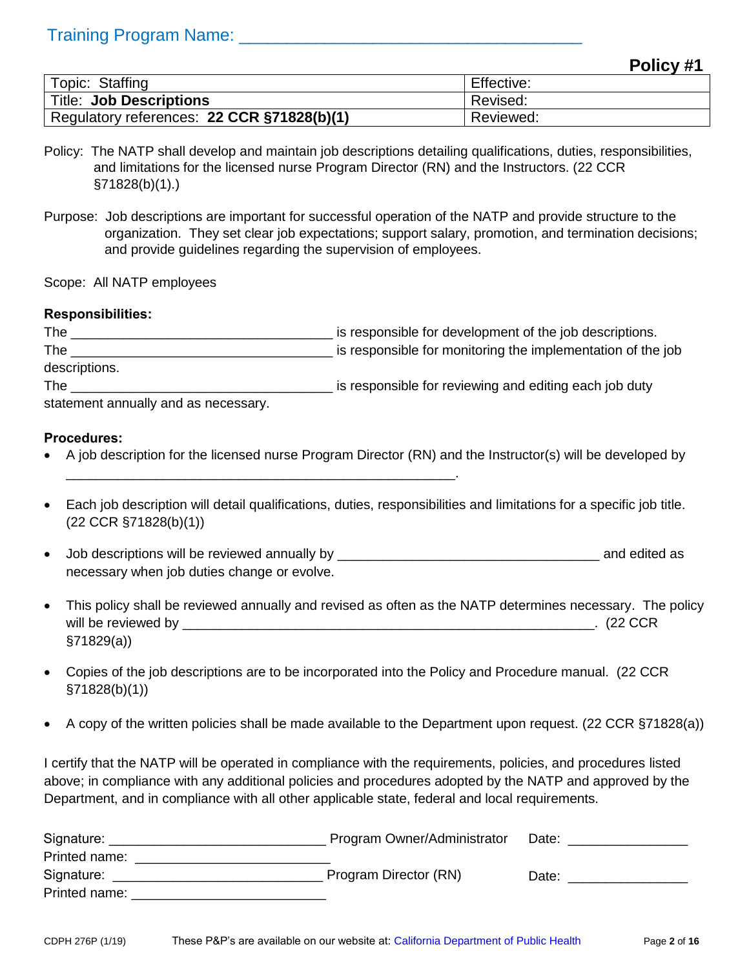#### **Policy #1**

|                                            | -- -       |
|--------------------------------------------|------------|
| Topic: Staffing                            | Effective: |
| <b>Title: Job Descriptions</b>             | Revised:   |
| Regulatory references: 22 CCR §71828(b)(1) | Reviewed:  |

- Policy: The NATP shall develop and maintain job descriptions detailing qualifications, duties, responsibilities, and limitations for the licensed nurse Program Director (RN) and the Instructors. (22 CCR §71828(b)(1).)
- Purpose: Job descriptions are important for successful operation of the NATP and provide structure to the organization. They set clear job expectations; support salary, promotion, and termination decisions; and provide guidelines regarding the supervision of employees.

Scope: All NATP employees

#### **Responsibilities:**

| The                                  | is responsible for development of the job descriptions.     |
|--------------------------------------|-------------------------------------------------------------|
| The                                  | is responsible for monitoring the implementation of the job |
| descriptions.                        |                                                             |
| The                                  | is responsible for reviewing and editing each job duty      |
| statement annually and as necessary. |                                                             |

**Procedures:**

A job description for the licensed nurse Program Director (RN) and the Instructor(s) will be developed by

\_\_\_\_\_\_\_\_\_\_\_\_\_\_\_\_\_\_\_\_\_\_\_\_\_\_\_\_\_\_\_\_\_\_\_\_\_\_\_\_\_\_\_\_\_\_\_\_\_\_\_\_.

- Each job description will detail qualifications, duties, responsibilities and limitations for a specific job title. (22 CCR §71828(b)(1))
- Job descriptions will be reviewed annually by \_\_\_\_\_\_\_\_\_\_\_\_\_\_\_\_\_\_\_\_\_\_\_\_\_\_\_\_\_\_\_\_\_\_\_ and edited as necessary when job duties change or evolve.
- This policy shall be reviewed annually and revised as often as the NATP determines necessary. The policy will be reviewed by \_\_\_\_\_\_\_\_\_\_\_\_\_\_\_\_\_\_\_\_\_\_\_\_\_\_\_\_\_\_\_\_\_\_\_\_\_\_\_\_\_\_\_\_\_\_\_\_\_\_\_\_\_\_\_. (22 CCR §71829(a))
- Copies of the job descriptions are to be incorporated into the Policy and Procedure manual. (22 CCR §71828(b)(1))
- A copy of the written policies shall be made available to the Department upon request. (22 CCR §71828(a))

| Signature:    | Program Owner/Administrator | Date: |
|---------------|-----------------------------|-------|
| Printed name: |                             |       |
| Signature:    | Program Director (RN)       | Date: |
| Printed name: |                             |       |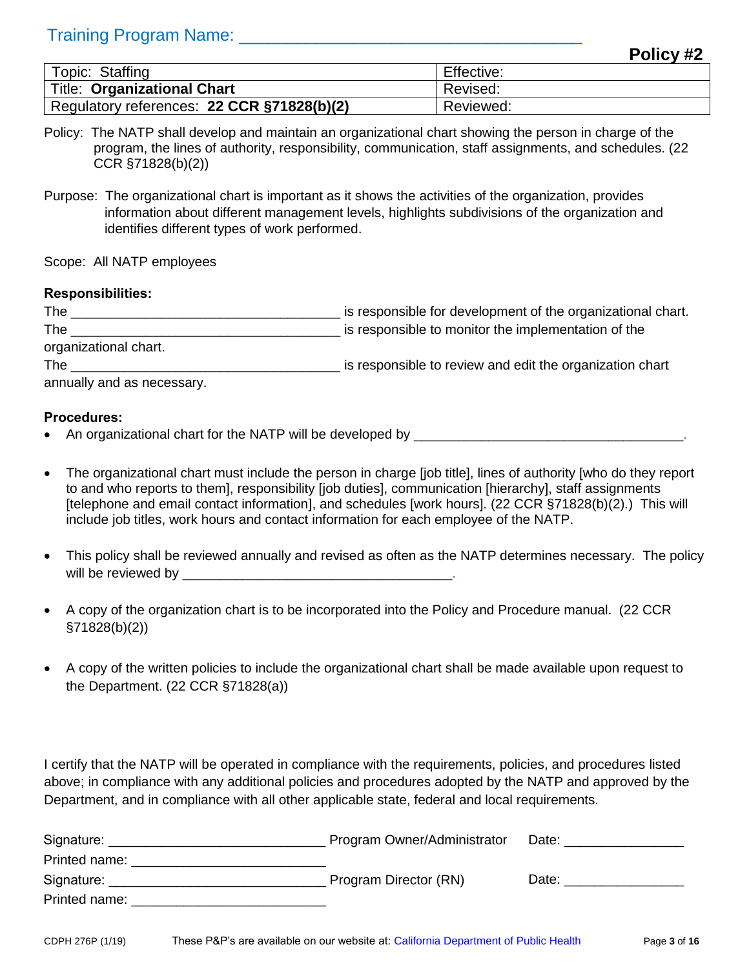|                                            | . <u>.</u> |
|--------------------------------------------|------------|
| Topic: Staffing                            | Effective: |
| Title: Organizational Chart                | Revised:   |
| Regulatory references: 22 CCR §71828(b)(2) | Reviewed:  |

- Policy: The NATP shall develop and maintain an organizational chart showing the person in charge of the program, the lines of authority, responsibility, communication, staff assignments, and schedules. (22 CCR §71828(b)(2))
- Purpose: The organizational chart is important as it shows the activities of the organization, provides information about different management levels, highlights subdivisions of the organization and identifies different types of work performed.

Scope: All NATP employees

#### **Responsibilities:**

| The                        | is responsible for development of the organizational chart. |
|----------------------------|-------------------------------------------------------------|
| The                        | is responsible to monitor the implementation of the         |
| organizational chart.      |                                                             |
| The                        | is responsible to review and edit the organization chart    |
| annually and as necessary. |                                                             |

#### **Procedures:**

- An organizational chart for the NATP will be developed by \_\_\_\_\_\_\_\_\_\_\_\_\_\_\_\_\_\_\_\_\_\_
- The organizational chart must include the person in charge [job title], lines of authority [who do they report to and who reports to them], responsibility [job duties], communication [hierarchy], staff assignments [telephone and email contact information], and schedules [work hours]. (22 CCR §71828(b)(2).) This will include job titles, work hours and contact information for each employee of the NATP.
- This policy shall be reviewed annually and revised as often as the NATP determines necessary. The policy will be reviewed by  $\blacksquare$
- A copy of the organization chart is to be incorporated into the Policy and Procedure manual. (22 CCR §71828(b)(2))
- A copy of the written policies to include the organizational chart shall be made available upon request to the Department. (22 CCR §71828(a))

I certify that the NATP will be operated in compliance with the requirements, policies, and procedures listed above; in compliance with any additional policies and procedures adopted by the NATP and approved by the Department, and in compliance with all other applicable state, federal and local requirements.

| Signature:                               | Program Owner/Administrator | Date: |
|------------------------------------------|-----------------------------|-------|
| Printed name:                            |                             |       |
| Signature: <u>______________________</u> | Program Director (RN)       | Date: |
| Printed name:                            |                             |       |

**Policy #2**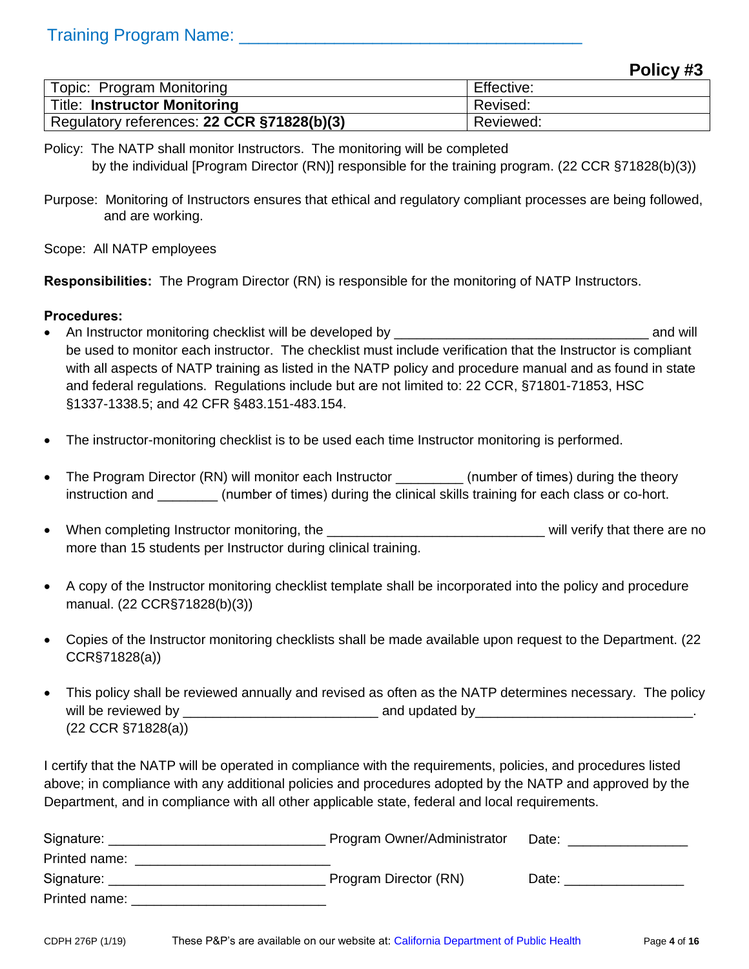#### **Policy #3**

| <b>Topic: Program Monitoring</b>           | Effective: |
|--------------------------------------------|------------|
| Title: Instructor Monitoring               | Revised:   |
| Regulatory references: 22 CCR §71828(b)(3) | Reviewed:  |

Policy: The NATP shall monitor Instructors. The monitoring will be completed by the individual [Program Director (RN)] responsible for the training program. (22 CCR §71828(b)(3))

Purpose: Monitoring of Instructors ensures that ethical and regulatory compliant processes are being followed, and are working.

Scope: All NATP employees

**Responsibilities:** The Program Director (RN) is responsible for the monitoring of NATP Instructors.

#### **Procedures:**

- An Instructor monitoring checklist will be developed by \_\_\_\_\_\_\_\_\_\_\_\_\_\_\_\_\_\_\_\_\_\_\_\_\_\_\_\_\_\_\_\_\_\_ and will be used to monitor each instructor. The checklist must include verification that the Instructor is compliant with all aspects of NATP training as listed in the NATP policy and procedure manual and as found in state and federal regulations. Regulations include but are not limited to: 22 CCR, §71801-71853, HSC §1337-1338.5; and 42 CFR §483.151-483.154.
- The instructor-monitoring checklist is to be used each time Instructor monitoring is performed.
- The Program Director (RN) will monitor each Instructor \_\_\_\_\_\_\_\_\_\_\_ (number of times) during the theory instruction and \_\_\_\_\_\_\_\_ (number of times) during the clinical skills training for each class or co-hort.
- When completing Instructor monitoring, the \_\_\_\_\_\_\_\_\_\_\_\_\_\_\_\_\_\_\_\_\_\_\_\_\_\_\_\_\_ will verify that there are no more than 15 students per Instructor during clinical training.
- A copy of the Instructor monitoring checklist template shall be incorporated into the policy and procedure manual. (22 CCR§71828(b)(3))
- Copies of the Instructor monitoring checklists shall be made available upon request to the Department. (22 CCR§71828(a))
- This policy shall be reviewed annually and revised as often as the NATP determines necessary. The policy will be reviewed by \_\_\_\_\_\_\_\_\_\_\_\_\_\_\_\_\_\_\_\_\_\_\_\_\_\_ and updated by\_\_\_\_\_\_\_\_\_\_\_\_\_\_\_\_\_\_\_\_\_\_\_\_\_\_\_\_\_. (22 CCR §71828(a))

| Signature:    | Program Owner/Administrator | Date: |
|---------------|-----------------------------|-------|
| Printed name: |                             |       |
| Signature:    | Program Director (RN)       | Date: |
| Printed name: |                             |       |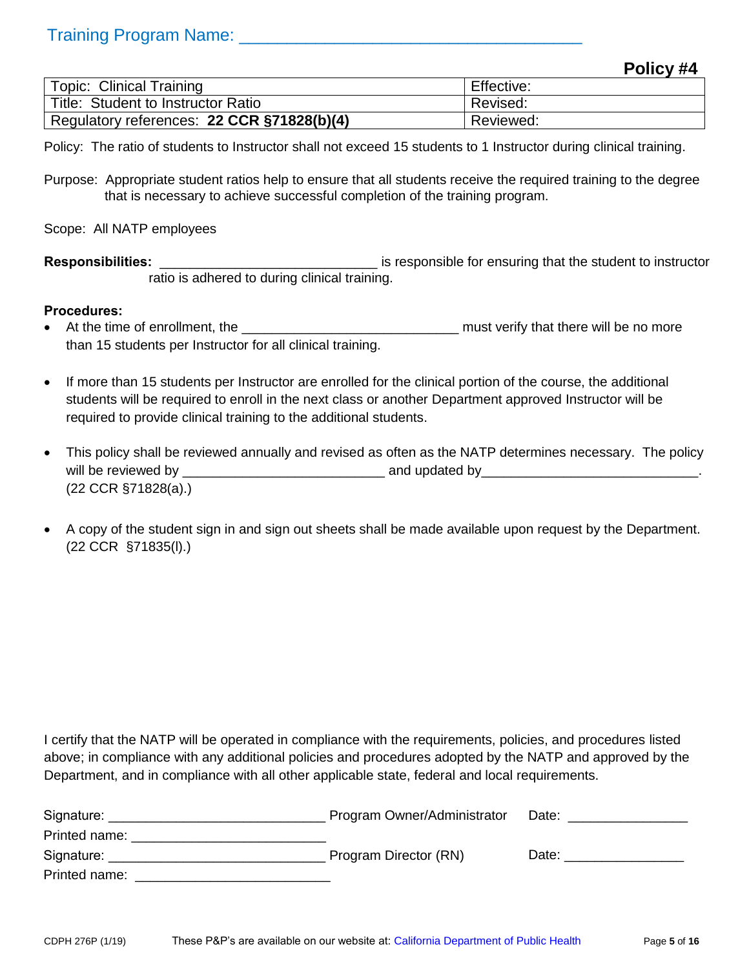#### **Policy #4**

| <b>Topic: Clinical Training</b>            | Effective: |
|--------------------------------------------|------------|
| Title: Student to Instructor Ratio         | Revised:   |
| Regulatory references: 22 CCR §71828(b)(4) | Reviewed:  |

Policy: The ratio of students to Instructor shall not exceed 15 students to 1 Instructor during clinical training.

Purpose: Appropriate student ratios help to ensure that all students receive the required training to the degree that is necessary to achieve successful completion of the training program.

Scope: All NATP employees

**Responsibilities:** \_\_\_\_\_\_\_\_\_\_\_\_\_\_\_\_\_\_\_\_\_\_\_\_\_\_\_\_\_ is responsible for ensuring that the student to instructor ratio is adhered to during clinical training.

#### **Procedures:**

- At the time of enrollment, the \_\_\_\_\_\_\_\_\_\_\_\_\_\_\_\_\_\_\_\_\_\_\_\_\_\_\_\_\_ must verify that there will be no more than 15 students per Instructor for all clinical training.
- If more than 15 students per Instructor are enrolled for the clinical portion of the course, the additional students will be required to enroll in the next class or another Department approved Instructor will be required to provide clinical training to the additional students.
- This policy shall be reviewed annually and revised as often as the NATP determines necessary. The policy will be reviewed by \_\_\_\_\_\_\_\_\_\_\_\_\_\_\_\_\_\_\_\_\_\_\_\_\_\_\_ and updated by\_\_\_\_\_\_\_\_\_\_\_\_\_\_\_\_\_\_\_\_\_\_\_\_\_\_\_\_\_. (22 CCR §71828(a).)
- A copy of the student sign in and sign out sheets shall be made available upon request by the Department. (22 CCR §71835(l).)

| Signature:    | Program Owner/Administrator | Date: |
|---------------|-----------------------------|-------|
| Printed name: |                             |       |
| Signature:    | Program Director (RN)       | Date: |
| Printed name: |                             |       |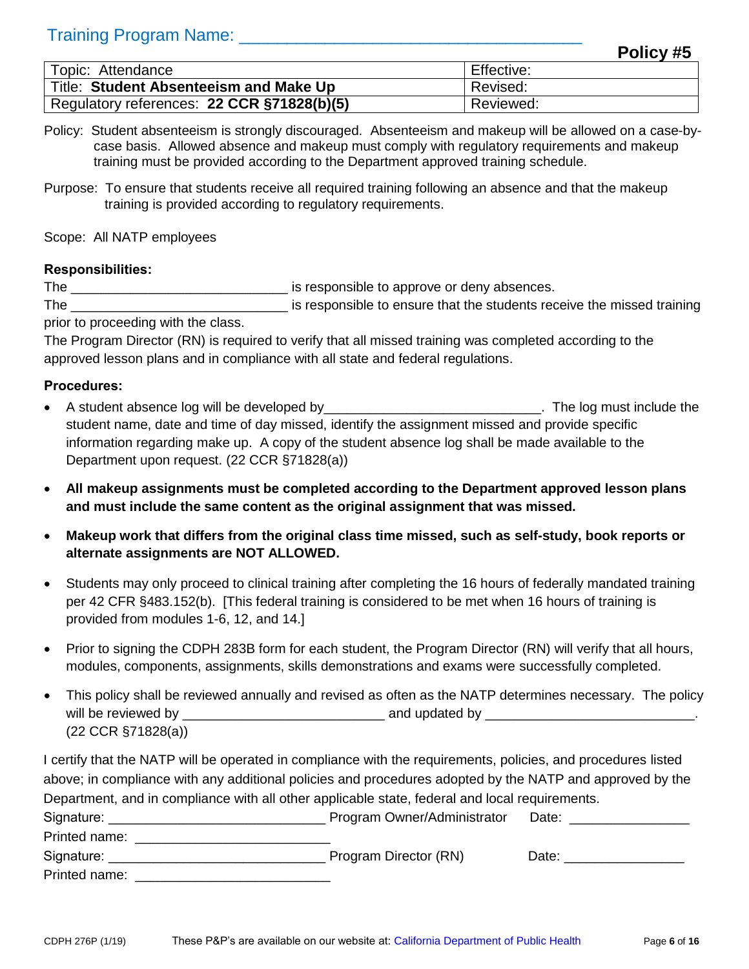|                                            | -----<br>--- |
|--------------------------------------------|--------------|
| Topic: Attendance                          | Effective:   |
| Title: Student Absenteeism and Make Up     | Revised:     |
| Regulatory references: 22 CCR §71828(b)(5) | Reviewed:    |

- Policy: Student absenteeism is strongly discouraged. Absenteeism and makeup will be allowed on a case-bycase basis. Allowed absence and makeup must comply with regulatory requirements and makeup training must be provided according to the Department approved training schedule.
- Purpose: To ensure that students receive all required training following an absence and that the makeup training is provided according to regulatory requirements.

Scope: All NATP employees

#### **Responsibilities:**

The \_\_\_\_\_\_\_\_\_\_\_\_\_\_\_\_\_\_\_\_\_\_\_\_\_\_\_\_\_ is responsible to approve or deny absences.

The **EXECUTE:** is responsible to ensure that the students receive the missed training prior to proceeding with the class.

The Program Director (RN) is required to verify that all missed training was completed according to the approved lesson plans and in compliance with all state and federal regulations.

#### **Procedures:**

- A student absence log will be developed by entitled and the controller will be a student for the log must include the student name, date and time of day missed, identify the assignment missed and provide specific information regarding make up. A copy of the student absence log shall be made available to the Department upon request. (22 CCR §71828(a))
- **All makeup assignments must be completed according to the Department approved lesson plans and must include the same content as the original assignment that was missed.**
- **Makeup work that differs from the original class time missed, such as self-study, book reports or alternate assignments are NOT ALLOWED.**
- Students may only proceed to clinical training after completing the 16 hours of federally mandated training per 42 CFR §483.152(b). [This federal training is considered to be met when 16 hours of training is provided from modules 1-6, 12, and 14.]
- Prior to signing the CDPH 283B form for each student, the Program Director (RN) will verify that all hours, modules, components, assignments, skills demonstrations and exams were successfully completed.
- This policy shall be reviewed annually and revised as often as the NATP determines necessary. The policy will be reviewed by \_\_\_\_\_\_\_\_\_\_\_\_\_\_\_\_\_\_\_\_\_\_\_\_\_\_\_ and updated by \_\_\_\_\_\_\_\_\_\_\_\_\_\_\_\_\_\_\_\_\_\_\_\_\_\_\_\_. (22 CCR §71828(a))

| Signature:    | Program Owner/Administrator | Date: |
|---------------|-----------------------------|-------|
| Printed name: |                             |       |
| Signature:    | Program Director (RN)       | Date: |
| Printed name: |                             |       |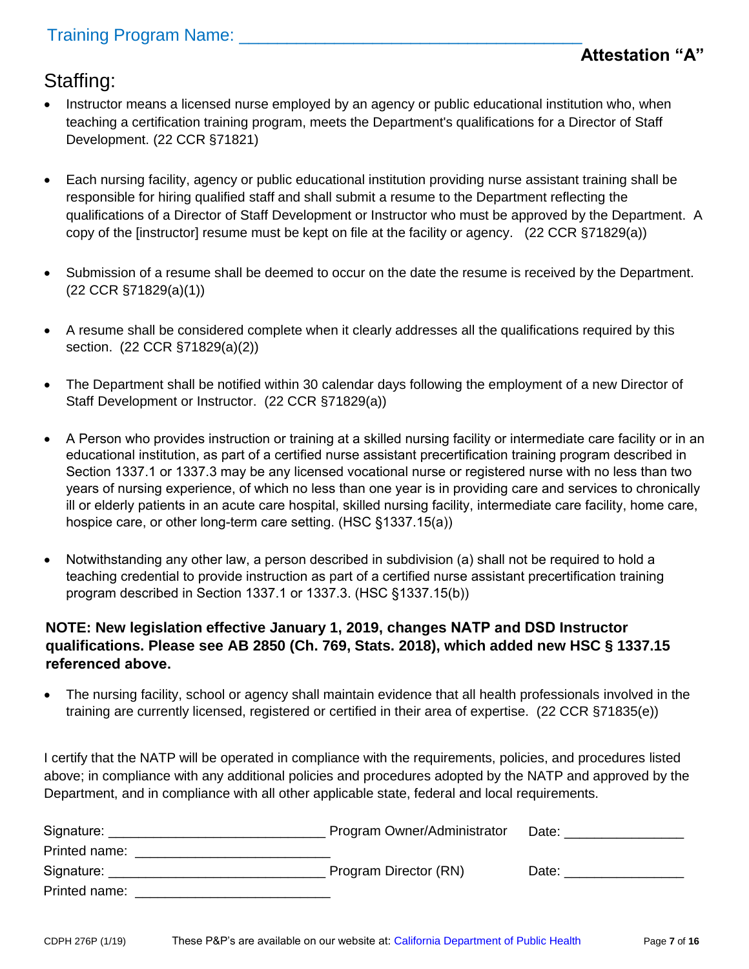### Staffing:

- Instructor means a licensed nurse employed by an agency or public educational institution who, when teaching a certification training program, meets the Department's qualifications for a Director of Staff Development. (22 CCR §71821)
- Each nursing facility, agency or public educational institution providing nurse assistant training shall be responsible for hiring qualified staff and shall submit a resume to the Department reflecting the qualifications of a Director of Staff Development or Instructor who must be approved by the Department. A copy of the [instructor] resume must be kept on file at the facility or agency. (22 CCR §71829(a))
- Submission of a resume shall be deemed to occur on the date the resume is received by the Department. (22 CCR §71829(a)(1))
- A resume shall be considered complete when it clearly addresses all the qualifications required by this section. (22 CCR §71829(a)(2))
- The Department shall be notified within 30 calendar days following the employment of a new Director of Staff Development or Instructor. (22 CCR §71829(a))
- A Person who provides instruction or training at a skilled nursing facility or intermediate care facility or in an educational institution, as part of a certified nurse assistant precertification training program described in Section 1337.1 or 1337.3 may be any licensed vocational nurse or registered nurse with no less than two years of nursing experience, of which no less than one year is in providing care and services to chronically ill or elderly patients in an acute care hospital, skilled nursing facility, intermediate care facility, home care, hospice care, or other long-term care setting. (HSC §1337.15(a))
- Notwithstanding any other law, a person described in subdivision (a) shall not be required to hold a teaching credential to provide instruction as part of a certified nurse assistant precertification training program described in Section 1337.1 or 1337.3. (HSC §1337.15(b))

#### **NOTE: New legislation effective January 1, 2019, changes NATP and DSD Instructor qualifications. Please see AB 2850 (Ch. 769, Stats. 2018), which added new HSC § 1337.15 referenced above.**

 The nursing facility, school or agency shall maintain evidence that all health professionals involved in the training are currently licensed, registered or certified in their area of expertise. (22 CCR §71835(e))

| Signature:    | Program Owner/Administrator | Date: |
|---------------|-----------------------------|-------|
| Printed name: |                             |       |
| Signature:    | Program Director (RN)       | Date: |
| Printed name: |                             |       |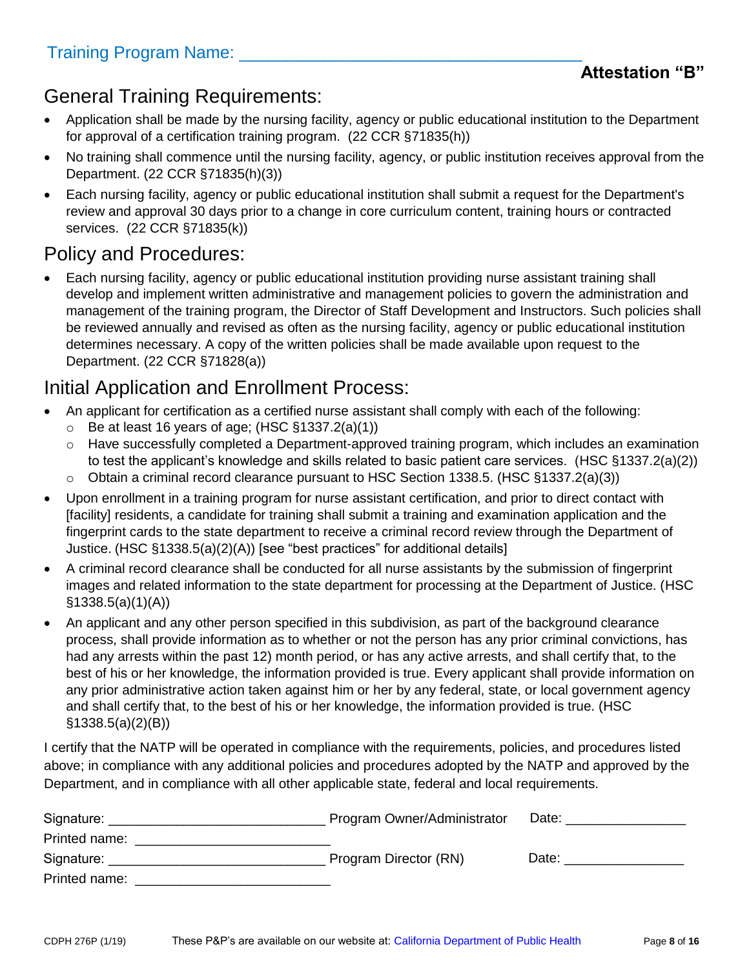### General Training Requirements:

- Application shall be made by the nursing facility, agency or public educational institution to the Department for approval of a certification training program. (22 CCR §71835(h))
- No training shall commence until the nursing facility, agency, or public institution receives approval from the Department. (22 CCR §71835(h)(3))
- Each nursing facility, agency or public educational institution shall submit a request for the Department's review and approval 30 days prior to a change in core curriculum content, training hours or contracted services. (22 CCR §71835(k))

## Policy and Procedures:

 Each nursing facility, agency or public educational institution providing nurse assistant training shall develop and implement written administrative and management policies to govern the administration and management of the training program, the Director of Staff Development and Instructors. Such policies shall be reviewed annually and revised as often as the nursing facility, agency or public educational institution determines necessary. A copy of the written policies shall be made available upon request to the Department. (22 CCR §71828(a))

### Initial Application and Enrollment Process:

- An applicant for certification as a certified nurse assistant shall comply with each of the following:
	- $\circ$  Be at least 16 years of age; (HSC §1337.2(a)(1))
	- o Have successfully completed a Department-approved training program, which includes an examination to test the applicant's knowledge and skills related to basic patient care services. (HSC §1337.2(a)(2))
	- o Obtain a criminal record clearance pursuant to HSC Section 1338.5. (HSC §1337.2(a)(3))
- Upon enrollment in a training program for nurse assistant certification, and prior to direct contact with [facility] residents, a candidate for training shall submit a training and examination application and the fingerprint cards to the state department to receive a criminal record review through the Department of Justice. (HSC §1338.5(a)(2)(A)) [see "best practices" for additional details]
- A criminal record clearance shall be conducted for all nurse assistants by the submission of fingerprint images and related information to the state department for processing at the Department of Justice. (HSC §1338.5(a)(1)(A))
- An applicant and any other person specified in this subdivision, as part of the background clearance process, shall provide information as to whether or not the person has any prior criminal convictions, has had any arrests within the past 12) month period, or has any active arrests, and shall certify that, to the best of his or her knowledge, the information provided is true. Every applicant shall provide information on any prior administrative action taken against him or her by any federal, state, or local government agency and shall certify that, to the best of his or her knowledge, the information provided is true. (HSC §1338.5(a)(2)(B))

| Signature:    | Program Owner/Administrator | Date: |
|---------------|-----------------------------|-------|
| Printed name: |                             |       |
| Signature:    | Program Director (RN)       | Date: |
| Printed name: |                             |       |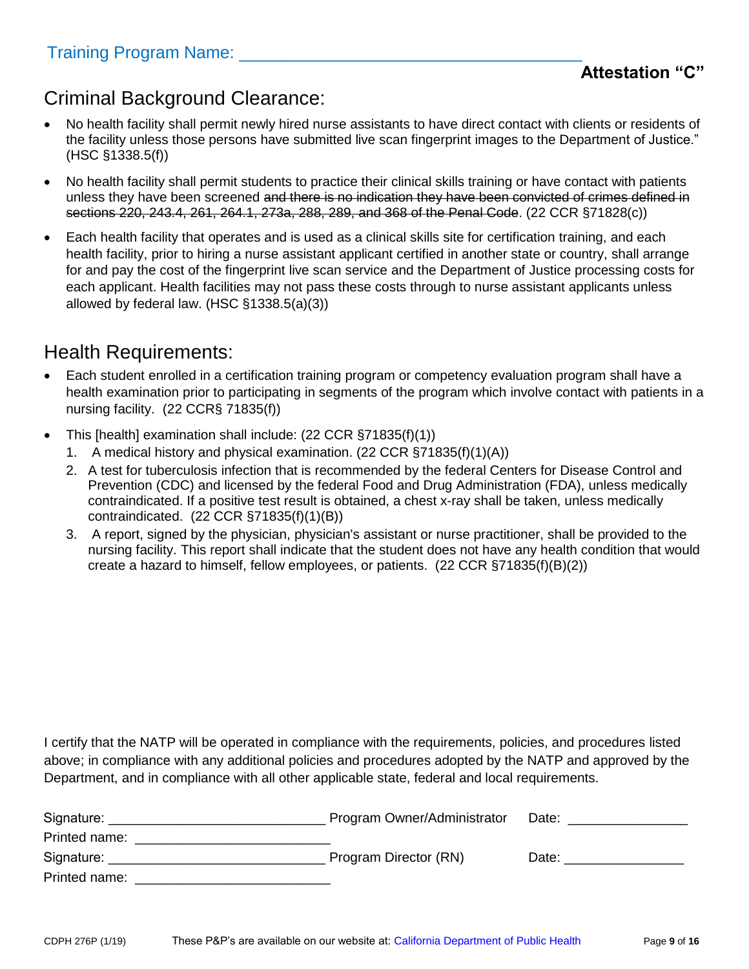#### Criminal Background Clearance:

- No health facility shall permit newly hired nurse assistants to have direct contact with clients or residents of the facility unless those persons have submitted live scan fingerprint images to the Department of Justice." (HSC §1338.5(f))
- No health facility shall permit students to practice their clinical skills training or have contact with patients unless they have been screened and there is no indication they have been convicted of crimes defined in sections 220, 243.4, 261, 264.1, 273a, 288, 289, and 368 of the Penal Code. (22 CCR §71828(c))
- Each health facility that operates and is used as a clinical skills site for certification training, and each health facility, prior to hiring a nurse assistant applicant certified in another state or country, shall arrange for and pay the cost of the fingerprint live scan service and the Department of Justice processing costs for each applicant. Health facilities may not pass these costs through to nurse assistant applicants unless allowed by federal law. (HSC §1338.5(a)(3))

### Health Requirements:

- Each student enrolled in a certification training program or competency evaluation program shall have a health examination prior to participating in segments of the program which involve contact with patients in a nursing facility. (22 CCR§ 71835(f))
- This [health] examination shall include: (22 CCR §71835(f)(1))
	- 1. A medical history and physical examination. (22 CCR §71835(f)(1)(A))
	- 2. A test for tuberculosis infection that is recommended by the federal Centers for Disease Control and Prevention (CDC) and licensed by the federal Food and Drug Administration (FDA), unless medically contraindicated. If a positive test result is obtained, a chest x-ray shall be taken, unless medically contraindicated. (22 CCR §71835(f)(1)(B))
	- 3. A report, signed by the physician, physician's assistant or nurse practitioner, shall be provided to the nursing facility. This report shall indicate that the student does not have any health condition that would create a hazard to himself, fellow employees, or patients. (22 CCR §71835(f)(B)(2))

| Signature:    | Program Owner/Administrator | Date: |
|---------------|-----------------------------|-------|
| Printed name: |                             |       |
| Signature: _  | Program Director (RN)       | Date: |
| Printed name: |                             |       |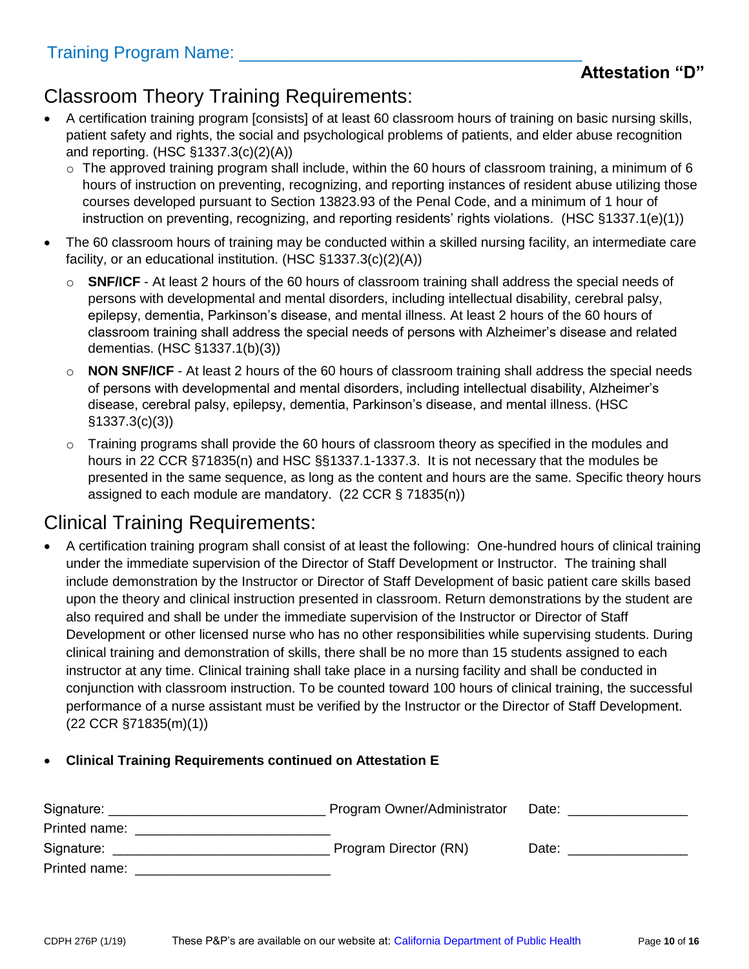#### **Attestation "D"**

## Classroom Theory Training Requirements:

- A certification training program [consists] of at least 60 classroom hours of training on basic nursing skills, patient safety and rights, the social and psychological problems of patients, and elder abuse recognition and reporting. (HSC §1337.3(c)(2)(A))
	- o The approved training program shall include, within the 60 hours of classroom training, a minimum of 6 hours of instruction on preventing, recognizing, and reporting instances of resident abuse utilizing those courses developed pursuant to Section 13823.93 of the Penal Code, and a minimum of 1 hour of instruction on preventing, recognizing, and reporting residents' rights violations. (HSC §1337.1(e)(1))
- The 60 classroom hours of training may be conducted within a skilled nursing facility, an intermediate care facility, or an educational institution. (HSC §1337.3(c)(2)(A))
	- o **SNF/ICF**  At least 2 hours of the 60 hours of classroom training shall address the special needs of persons with developmental and mental disorders, including intellectual disability, cerebral palsy, epilepsy, dementia, Parkinson's disease, and mental illness. At least 2 hours of the 60 hours of classroom training shall address the special needs of persons with Alzheimer's disease and related dementias. (HSC §1337.1(b)(3))
	- o **NON SNF/ICF**  At least 2 hours of the 60 hours of classroom training shall address the special needs of persons with developmental and mental disorders, including intellectual disability, Alzheimer's disease, cerebral palsy, epilepsy, dementia, Parkinson's disease, and mental illness. (HSC §1337.3(c)(3))
	- o Training programs shall provide the 60 hours of classroom theory as specified in the modules and hours in 22 CCR §71835(n) and HSC §§1337.1-1337.3. It is not necessary that the modules be presented in the same sequence, as long as the content and hours are the same. Specific theory hours assigned to each module are mandatory. (22 CCR § 71835(n))

### Clinical Training Requirements:

 A certification training program shall consist of at least the following: One-hundred hours of clinical training under the immediate supervision of the Director of Staff Development or Instructor. The training shall include demonstration by the Instructor or Director of Staff Development of basic patient care skills based upon the theory and clinical instruction presented in classroom. Return demonstrations by the student are also required and shall be under the immediate supervision of the Instructor or Director of Staff Development or other licensed nurse who has no other responsibilities while supervising students. During clinical training and demonstration of skills, there shall be no more than 15 students assigned to each instructor at any time. Clinical training shall take place in a nursing facility and shall be conducted in conjunction with classroom instruction. To be counted toward 100 hours of clinical training, the successful performance of a nurse assistant must be verified by the Instructor or the Director of Staff Development. (22 CCR §71835(m)(1))

#### **Clinical Training Requirements continued on Attestation E**

| Signature:    | Program Owner/Administrator | Date: |
|---------------|-----------------------------|-------|
| Printed name: |                             |       |
| Signature:    | Program Director (RN)       | Date: |
| Printed name: |                             |       |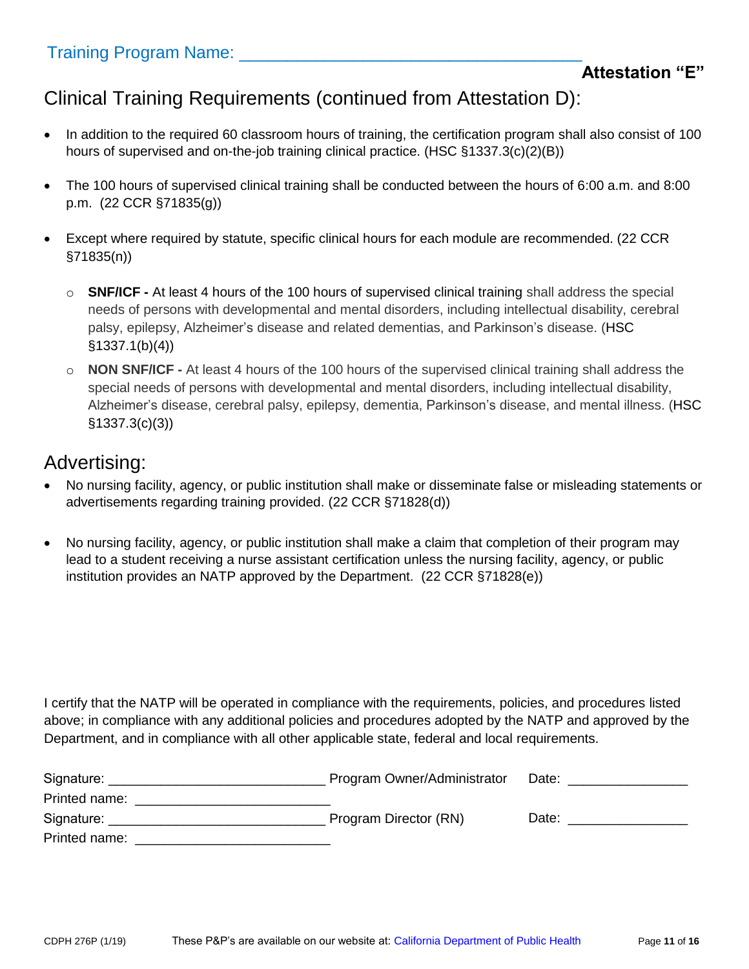# Clinical Training Requirements (continued from Attestation D):

- In addition to the required 60 classroom hours of training, the certification program shall also consist of 100 hours of supervised and on-the-job training clinical practice. (HSC §1337.3(c)(2)(B))
- The 100 hours of supervised clinical training shall be conducted between the hours of 6:00 a.m. and 8:00 p.m. (22 CCR §71835(g))
- Except where required by statute, specific clinical hours for each module are recommended. (22 CCR §71835(n))
	- o **SNF/ICF -** At least 4 hours of the 100 hours of supervised clinical training shall address the special needs of persons with developmental and mental disorders, including intellectual disability, cerebral palsy, epilepsy, Alzheimer's disease and related dementias, and Parkinson's disease. (HSC §1337.1(b)(4))
	- o **NON SNF/ICF -** At least 4 hours of the 100 hours of the supervised clinical training shall address the special needs of persons with developmental and mental disorders, including intellectual disability, Alzheimer's disease, cerebral palsy, epilepsy, dementia, Parkinson's disease, and mental illness. (HSC §1337.3(c)(3))

#### Advertising:

- No nursing facility, agency, or public institution shall make or disseminate false or misleading statements or advertisements regarding training provided. (22 CCR §71828(d))
- No nursing facility, agency, or public institution shall make a claim that completion of their program may lead to a student receiving a nurse assistant certification unless the nursing facility, agency, or public institution provides an NATP approved by the Department. (22 CCR §71828(e))

| Signature:    | Program Owner/Administrator | Date: |
|---------------|-----------------------------|-------|
| Printed name: |                             |       |
| Signature:    | Program Director (RN)       | Date: |
| Printed name: |                             |       |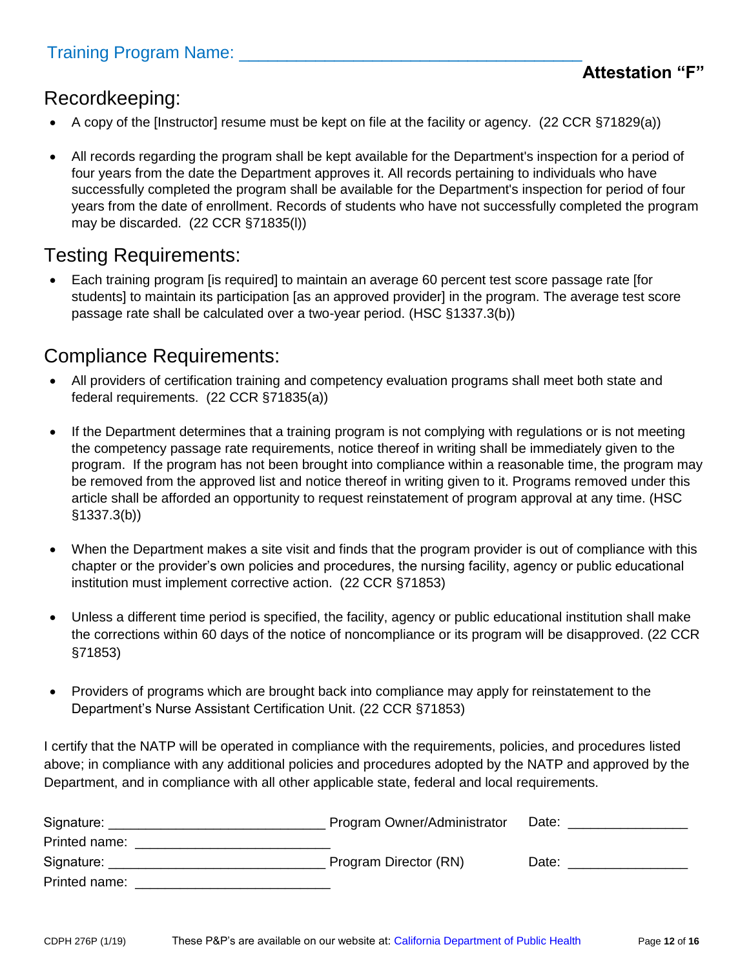#### Recordkeeping:

- A copy of the [Instructor] resume must be kept on file at the facility or agency. (22 CCR §71829(a))
- All records regarding the program shall be kept available for the Department's inspection for a period of four years from the date the Department approves it. All records pertaining to individuals who have successfully completed the program shall be available for the Department's inspection for period of four years from the date of enrollment. Records of students who have not successfully completed the program may be discarded. (22 CCR §71835(l))

#### Testing Requirements:

 Each training program [is required] to maintain an average 60 percent test score passage rate [for students] to maintain its participation [as an approved provider] in the program. The average test score passage rate shall be calculated over a two-year period. (HSC §1337.3(b))

### Compliance Requirements:

- All providers of certification training and competency evaluation programs shall meet both state and federal requirements. (22 CCR §71835(a))
- If the Department determines that a training program is not complying with regulations or is not meeting the competency passage rate requirements, notice thereof in writing shall be immediately given to the program. If the program has not been brought into compliance within a reasonable time, the program may be removed from the approved list and notice thereof in writing given to it. Programs removed under this article shall be afforded an opportunity to request reinstatement of program approval at any time. (HSC §1337.3(b))
- When the Department makes a site visit and finds that the program provider is out of compliance with this chapter or the provider's own policies and procedures, the nursing facility, agency or public educational institution must implement corrective action. (22 CCR §71853)
- Unless a different time period is specified, the facility, agency or public educational institution shall make the corrections within 60 days of the notice of noncompliance or its program will be disapproved. (22 CCR §71853)
- Providers of programs which are brought back into compliance may apply for reinstatement to the Department's Nurse Assistant Certification Unit. (22 CCR §71853)

| Signature:    | Program Owner/Administrator | Date: |
|---------------|-----------------------------|-------|
| Printed name: |                             |       |
| Signature:    | Program Director (RN)       | Date: |
| Printed name: |                             |       |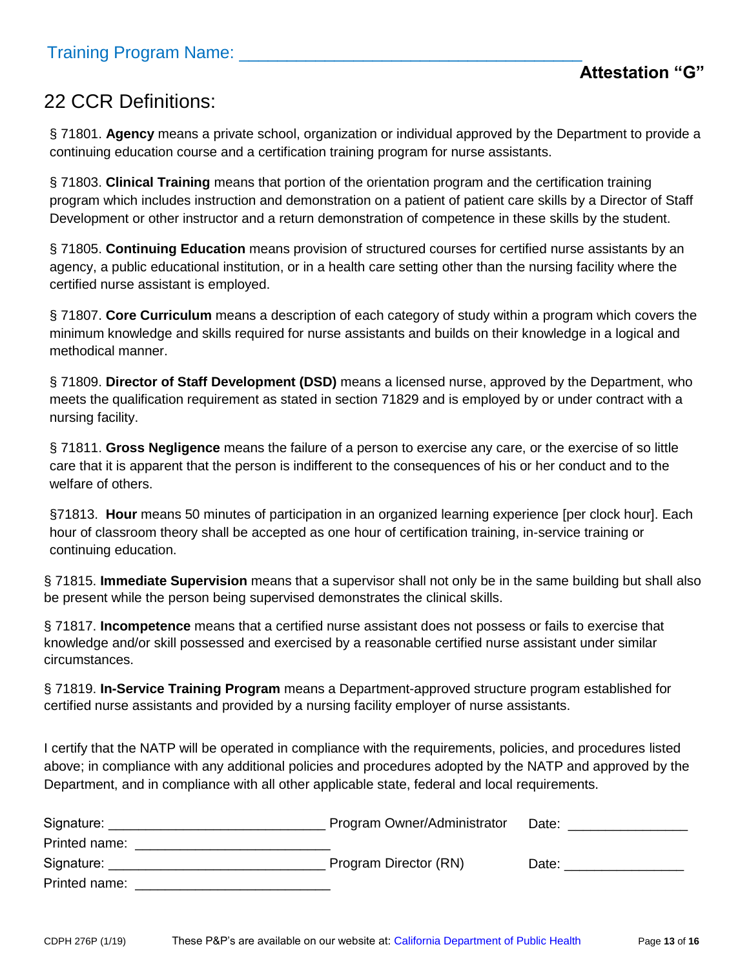# 22 CCR Definitions:

§ 71801. **Agency** means a private school, organization or individual approved by the Department to provide a continuing education course and a certification training program for nurse assistants.

§ 71803. **Clinical Training** means that portion of the orientation program and the certification training program which includes instruction and demonstration on a patient of patient care skills by a Director of Staff Development or other instructor and a return demonstration of competence in these skills by the student.

§ 71805. **Continuing Education** means provision of structured courses for certified nurse assistants by an agency, a public educational institution, or in a health care setting other than the nursing facility where the certified nurse assistant is employed.

§ 71807. **Core Curriculum** means a description of each category of study within a program which covers the minimum knowledge and skills required for nurse assistants and builds on their knowledge in a logical and methodical manner.

§ 71809. **Director of Staff Development (DSD)** means a licensed nurse, approved by the Department, who meets the qualification requirement as stated in section 71829 and is employed by or under contract with a nursing facility.

§ 71811. **Gross Negligence** means the failure of a person to exercise any care, or the exercise of so little care that it is apparent that the person is indifferent to the consequences of his or her conduct and to the welfare of others.

§71813. Hour means 50 minutes of participation in an organized learning experience [per clock hour]. Each hour of classroom theory shall be accepted as one hour of certification training, in-service training or continuing education.

§ 71815. **Immediate Supervision** means that a supervisor shall not only be in the same building but shall also be present while the person being supervised demonstrates the clinical skills.

§ 71817. **Incompetence** means that a certified nurse assistant does not possess or fails to exercise that knowledge and/or skill possessed and exercised by a reasonable certified nurse assistant under similar circumstances.

§ 71819. **In-Service Training Program** means a Department-approved structure program established for certified nurse assistants and provided by a nursing facility employer of nurse assistants.

| Signature:    | Program Owner/Administrator | Date: |
|---------------|-----------------------------|-------|
| Printed name: |                             |       |
| Signature:    | Program Director (RN)       | Date: |
| Printed name: |                             |       |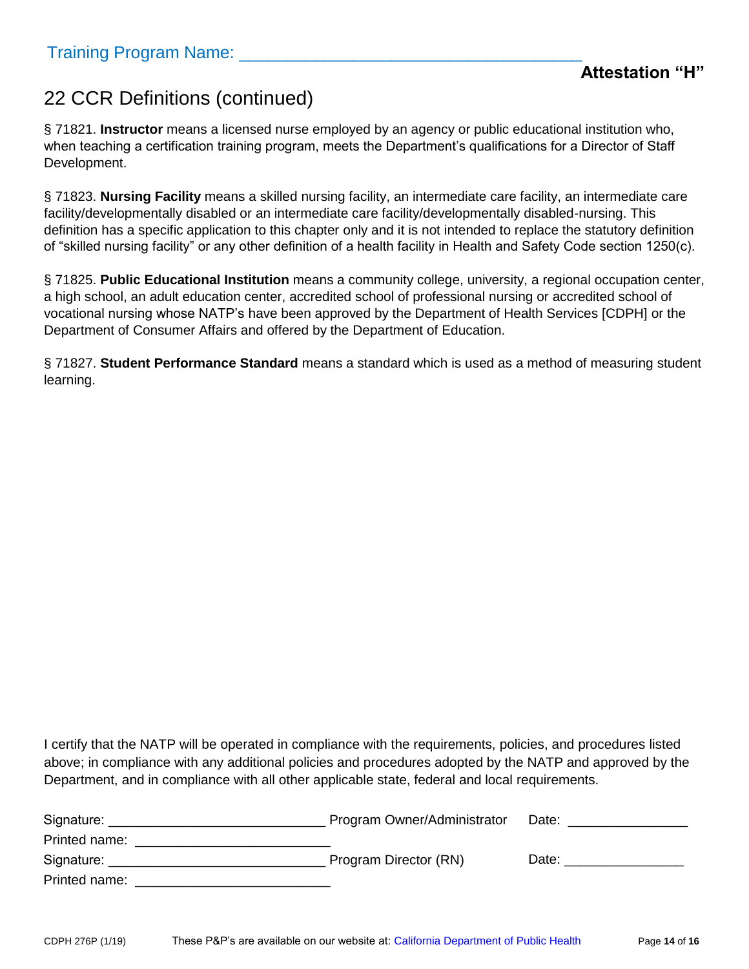# 22 CCR Definitions (continued)

§ 71821. **Instructor** means a licensed nurse employed by an agency or public educational institution who, when teaching a certification training program, meets the Department's qualifications for a Director of Staff Development.

§ 71823. **Nursing Facility** means a skilled nursing facility, an intermediate care facility, an intermediate care facility/developmentally disabled or an intermediate care facility/developmentally disabled-nursing. This definition has a specific application to this chapter only and it is not intended to replace the statutory definition of "skilled nursing facility" or any other definition of a health facility in Health and Safety Code section 1250(c).

§ 71825. **Public Educational Institution** means a community college, university, a regional occupation center, a high school, an adult education center, accredited school of professional nursing or accredited school of vocational nursing whose NATP's have been approved by the Department of Health Services [CDPH] or the Department of Consumer Affairs and offered by the Department of Education.

§ 71827. **Student Performance Standard** means a standard which is used as a method of measuring student learning.

| Signature:    | Program Owner/Administrator | Date: |
|---------------|-----------------------------|-------|
| Printed name: |                             |       |
| Signature:    | Program Director (RN)       | Date: |
| Printed name: |                             |       |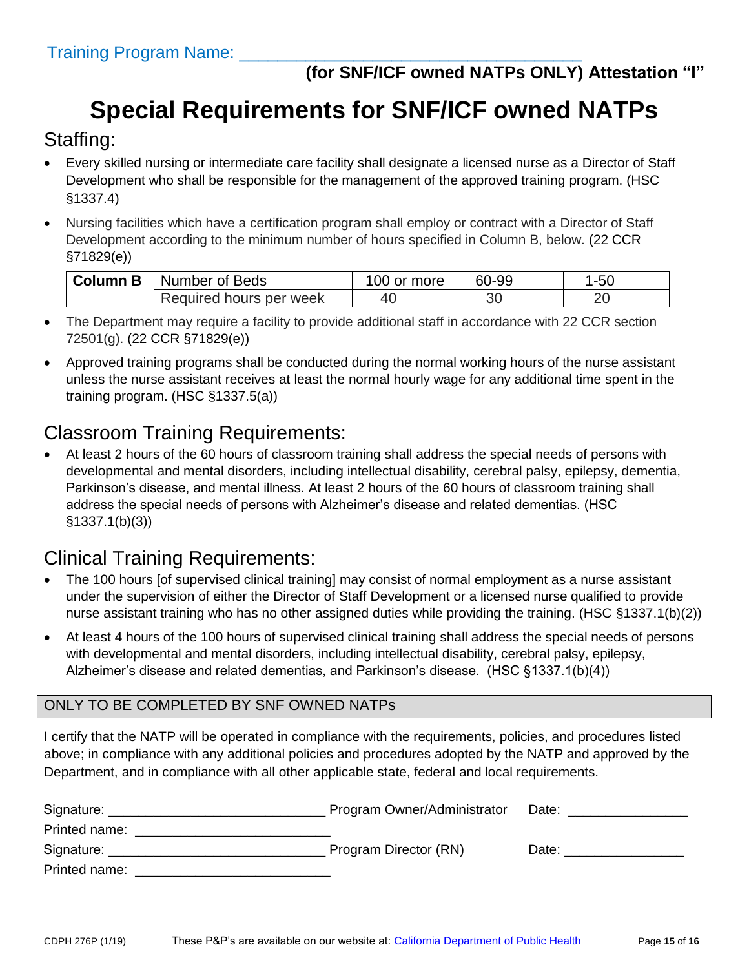# **Special Requirements for SNF/ICF owned NATPs**

#### Staffing:

- Every skilled nursing or intermediate care facility shall designate a licensed nurse as a Director of Staff Development who shall be responsible for the management of the approved training program. (HSC §1337.4)
- Nursing facilities which have a certification program shall employ or contract with a Director of Staff Development according to the minimum number of hours specified in Column B, below. (22 CCR §71829(e))

| <b>Column B</b> | Number of Beds          | 00 or more | 60-99 | 1-50 |  |
|-----------------|-------------------------|------------|-------|------|--|
|                 | Required hours per week | 40         | ΟU    |      |  |

- The Department may require a facility to provide additional staff in accordance with 22 CCR section 72501(g). (22 CCR §71829(e))
- Approved training programs shall be conducted during the normal working hours of the nurse assistant unless the nurse assistant receives at least the normal hourly wage for any additional time spent in the training program. (HSC §1337.5(a))

## Classroom Training Requirements:

 At least 2 hours of the 60 hours of classroom training shall address the special needs of persons with developmental and mental disorders, including intellectual disability, cerebral palsy, epilepsy, dementia, Parkinson's disease, and mental illness. At least 2 hours of the 60 hours of classroom training shall address the special needs of persons with Alzheimer's disease and related dementias. (HSC §1337.1(b)(3))

### Clinical Training Requirements:

- The 100 hours [of supervised clinical training] may consist of normal employment as a nurse assistant under the supervision of either the Director of Staff Development or a licensed nurse qualified to provide nurse assistant training who has no other assigned duties while providing the training. (HSC §1337.1(b)(2))
- At least 4 hours of the 100 hours of supervised clinical training shall address the special needs of persons with developmental and mental disorders, including intellectual disability, cerebral palsy, epilepsy, Alzheimer's disease and related dementias, and Parkinson's disease. (HSC §1337.1(b)(4))

#### ONLY TO BE COMPLETED BY SNF OWNED NATPs

| Signature:                                   | Program Owner/Administrator | Date: |
|----------------------------------------------|-----------------------------|-------|
| Printed name:                                |                             |       |
| Signature: <u>__________________________</u> | Program Director (RN)       | Date: |
| Printed name:                                |                             |       |